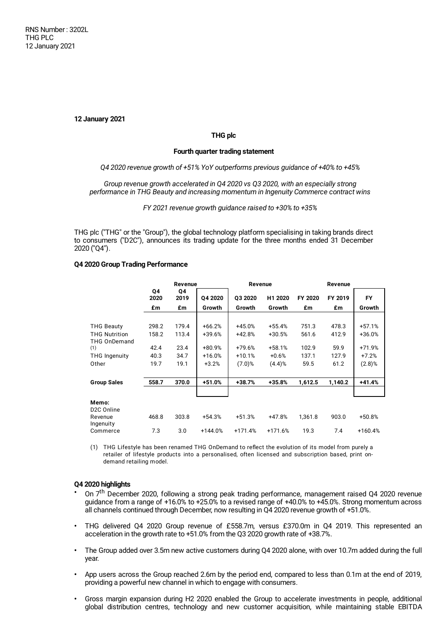**12 January 2021**

# **THG plc**

## **Fourth quarter trading statement**

## *Q4 2020 revenue growth of +51% YoY outperforms previous guidance of +40% to +45%*

*Group revenue growth accelerated in Q4 2020 vs Q3 2020, with an especially strong performance in THG Beauty and increasing momentum in Ingenuity Commerce contract wins*

*FY 2021 revenue growth guidance raised to +30% to +35%*

THG plc ("THG" or the "Group"), the global technology platform specialising in taking brands direct to consumers ("D2C"), announces its trading update for the three months ended 31 December 2020 ("Q4").

### **Q4 2020 Group Trading Performance**

|                                  | Revenue    |            |           | Revenue   |           | Revenue |         |           |
|----------------------------------|------------|------------|-----------|-----------|-----------|---------|---------|-----------|
|                                  | Q4<br>2020 | Q4<br>2019 | Q4 2020   | Q3 2020   | H1 2020   | FY 2020 | FY 2019 | <b>FY</b> |
|                                  | £m         | £m         | Growth    | Growth    | Growth    | £m      | £m      | Growth    |
|                                  |            |            |           |           |           |         |         |           |
| <b>THG Beauty</b>                | 298.2      | 179.4      | $+66.2%$  | +45.0%    | $+55.4%$  | 751.3   | 478.3   | $+57.1%$  |
| <b>THG Nutrition</b>             | 158.2      | 113.4      | +39.6%    | $+42.8%$  | $+30.5%$  | 561.6   | 412.9   | +36.0%    |
| <b>THG OnDemand</b>              |            |            |           |           |           |         |         |           |
| (1)                              | 42.4       | 23.4       | +80.9%    | +79.6%    | $+58.1%$  | 102.9   | 59.9    | +71.9%    |
| <b>THG Ingenuity</b>             | 40.3       | 34.7       | $+16.0%$  | $+10.1%$  | $+0.6%$   | 137.1   | 127.9   | $+7.2%$   |
| Other                            | 19.7       | 19.1       | $+3.2%$   | $(7.0)$ % | (4.4)%    | 59.5    | 61.2    | $(2.8)$ % |
| <b>Group Sales</b>               | 558.7      | 370.0      | $+51.0%$  | +38.7%    | +35.8%    | 1,612.5 | 1,140.2 | +41.4%    |
|                                  |            |            |           |           |           |         |         |           |
| Memo:<br>D <sub>2</sub> C Online |            |            |           |           |           |         |         |           |
| Revenue<br>Ingenuity             | 468.8      | 303.8      | $+54.3%$  | $+51.3%$  | $+47.8%$  | 1,361.8 | 903.0   | $+50.8%$  |
| Commerce                         | 7.3        | 3.0        | $+144.0%$ | $+171.4%$ | $+171.6%$ | 19.3    | 7.4     | $+160.4%$ |

(1) THG Lifestyle has been renamed THG OnDemand to reflect the evolution of its model from purely a retailer of lifestyle products into a personalised, often licensed and subscription based, print ondemand retailing model.

## **Q4 2020 highlights**

- **•** On 7 th December 2020, following a strong peak trading performance, management raised Q4 2020 revenue guidance from a range of +16.0% to +25.0% to a revised range of +40.0% to +45.0%. Strong momentum across all channels continued through December, now resulting in Q4 2020 revenue growth of +51.0%.
- **•** THG delivered Q4 2020 Group revenue of £558.7m, versus £370.0m in Q4 2019. This represented an acceleration in the growth rate to +51.0% from the Q3 2020 growth rate of +38.7%.
- **•** The Group added over 3.5m new active customers during Q4 2020 alone, with over 10.7m added during the full year.
- **•** App users across the Group reached 2.6m by the period end, compared to less than 0.1m at the end of 2019, providing a powerful new channel in which to engage with consumers.
- **•** Gross margin expansion during H2 2020 enabled the Group to accelerate investments in people, additional global distribution centres, technology and new customer acquisition, while maintaining stable EBITDA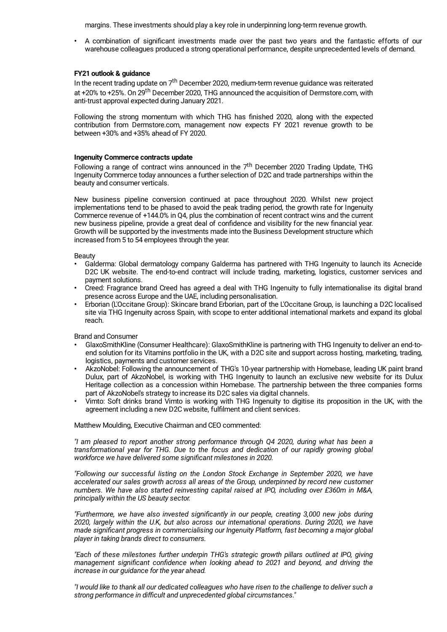margins. These investments should play a key role in underpinning long-term revenue growth.

**•** A combination of significant investments made over the past two years and the fantastic efforts of our warehouse colleagues produced a strong operational performance, despite unprecedented levels of demand.

# **FY21 outlook & guidance**

In the recent trading update on 7<sup>th</sup> December 2020, medium-term revenue guidance was reiterated at +20% to +25%. On 29<sup>th</sup> December 2020, THG announced the acquisition of Dermstore.com, with anti-trust approval expected during January 2021.

Following the strong momentum with which THG has finished 2020, along with the expected contribution from Dermstore.com, management now expects FY 2021 revenue growth to be between +30% and +35% ahead of FY 2020.

### **Ingenuity Commerce contracts update**

Following a range of contract wins announced in the 7<sup>th</sup> December 2020 Trading Update, THG Ingenuity Commerce today announces a further selection of D2C and trade partnerships within the beauty and consumer verticals.

New business pipeline conversion continued at pace throughout 2020. Whilst new project implementations tend to be phased to avoid the peak trading period, the growth rate for Ingenuity Commerce revenue of +144.0% in Q4, plus the combination of recent contract wins and the current new business pipeline, provide a great deal of confidence and visibility for the new financial year. Growth will be supported by the investments made into the Business Development structure which increased from 5 to 54 employees through the year.

### Beauty

- **•** Galderma: Global dermatology company Galderma has partnered with THG Ingenuity to launch its Acnecide D2C UK website. The end-to-end contract will include trading, marketing, logistics, customer services and payment solutions.
- **•** Creed: Fragrance brand Creed has agreed a deal with THG Ingenuity to fully internationalise its digital brand presence across Europe and the UAE, including personalisation.
- **•** Erborian (L'Occitane Group): Skincare brand Erborian, part of the L'Occitane Group, is launching a D2C localised site via THG Ingenuity across Spain, with scope to enter additional international markets and expand its global reach.

Brand and Consumer

- **•** GlaxoSmithKline (Consumer Healthcare): GlaxoSmithKline is partnering with THG Ingenuity to deliver an end-toend solution for its Vitamins portfolio in the UK, with a D2C site and support across hosting, marketing, trading, logistics, payments and customer services.
- **•** AkzoNobel: Following the announcement of THG's 10-year partnership with Homebase, leading UK paint brand Dulux, part of AkzoNobel, is working with THG Ingenuity to launch an exclusive new website for its Dulux Heritage collection as a concession within Homebase. The partnership between the three companies forms part of AkzoNobel's strategy to increase its D2C sales via digital channels.
- **•** Vimto: Soft drinks brand Vimto is working with THG Ingenuity to digitise its proposition in the UK, with the agreement including a new D2C website, fulfilment and client services.

Matthew Moulding, Executive Chairman and CEO commented:

*"I am pleased to report another strong performance through Q4 2020, during what has been a transformational year for THG. Due to the focus and dedication of our rapidly growing global workforce we have delivered some significant milestones in 2020.*

*"Following our successful listing on the London Stock Exchange in September 2020, we have accelerated our sales growth across all areas of the Group, underpinned by record new customer numbers. We have also started reinvesting capital raised at IPO, including over £360m in M&A, principally within the US beauty sector.*

*"Furthermore, we have also invested significantly in our people, creating 3,000 new jobs during 2020, largely within the U.K, but also across our international operations. During 2020, we have made significant progress in commercialising our Ingenuity Platform, fast becoming a major global player in taking brands direct to consumers.*

*"Each of these milestones further underpin THG's strategic growth pillars outlined at IPO, giving management significant confidence when looking ahead to 2021 and beyond, and driving the increase in our guidance for the year ahead.*

"I would like to thank all our dedicated colleagues who have risen to the challenge to deliver such a *strong performance in difficult and unprecedented global circumstances."*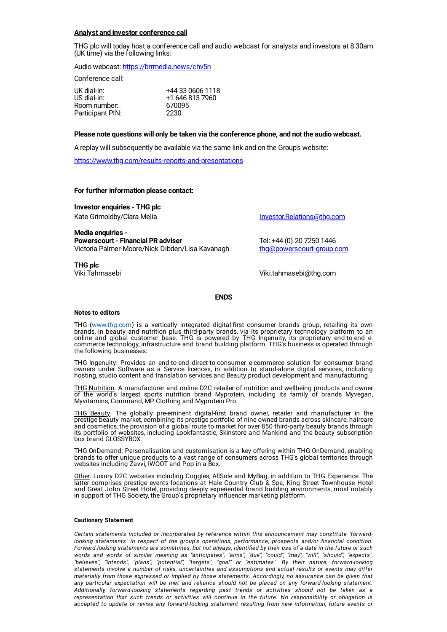# **Analyst and investor conference call**

THG plc will today host a conference call and audio webcast for analysts and investors at 8.30am (UK time) via the following links:

Audio webcast: <https://brrmedia.news/chv5n>

Conference call:

| UK dial-in:      | +44 33 0606 1118 |
|------------------|------------------|
| US dial-in:      | +1 646 813 7960  |
| Room number:     | 670095           |
| Participant PIN: | 2230             |

### **Please note questions will only be taken via the conference phone, and not the audio webcast.**

A replay will subsequently be available via the same link and on the Group's website:

<https://www.thg.com/results-reports-and-presentations>

#### **For further information please contact:**

**Investor enquiries - THG plc** Kate Grimoldby/Clara Melia **[Investor.Relations@thg.com](mailto:Investor.Relations@thg.com)** 

**Media enquiries - Powerscourt - Financial PR adviser** Tel: +44 (0) 20 7250 1446 Victoria Palmer-Moore/Nick Dibden/Lisa Kavanagh [thg@powerscourt-group.com](mailto:thg@powerscourt-group.com)

**THG plc**

Viki Tahmasebi Viki.tahmasebi@thg.com

#### **ENDS**

#### **Notes to editors**

THG (<u>www.thg.com</u>) is a vertically integrated digital-first consumer brands group, retailing its own brands, in beauty and nutrition plus third-party brands, via its proprietary technology platform to an online and global customer base. THG is powered by THG Ingenuity, its proprietary end-to-end ecommerce technology, infrastructure and brand building platform. THG's business is operated through the following businesses:

THG Ingenuity: Provides an end-to-end direct-to-consumer e-commerce solution for consumer brand owners under Software as a Service licences, in addition to stand-alone digital services, including hosting, studio content and translation services and Beauty product development and manufacturing.

THG Nutrition: A manufacturer and online D2C retailer of nutrition and wellbeing products and owner of the world's largest sports nutrition brand Myprotein, including its family of brands Myvegan, Myvitamins, Command, MP Clothing and Myprotein Pro.

THG Beauty: The globally pre-eminent digital-first brand owner, retailer and manufacturer in the prestige beauty market, combining its prestige portfolio of nine owned brands across skincare, haircare and cosmetics, the provision of a global route to market for over 850 third-party beauty brands through its portfolio of websites, including Lookfantastic, Skinstore and Mankind and the beauty subscription box brand GLOSSYBOX.

THG OnDemand: Personalisation and customisation is a key offering within THG OnDemand, enabling brands to offer unique products to a vast range of consumers across THG's global territories through websites including Zavvi, IWOOT and Pop in a Box.

Other: Luxury D2C websites including Coggles, AllSole and MyBag, in addition to THG Experience. The latter comprises prestige events locations at Hale Country Club & Spa, King Street Townhouse Hotel and Great John Street Hotel, providing deeply experiential brand building environments, most notably in support of THG Society, the Group's proprietary influencer marketing platform.

#### **Cautionary Statement**

*Certain statements included or incorporated by reference within this announcement may constitute "forwardlooking statements" in respect of the group's operations, performance, prospects and/or financial condition.* Forward-looking statements are sometimes, but not always, identified by their use of a date in the future or such *words and words of similar meaning as "anticipates", "aims", "due", "could", "may", "will", "should", "expects", "believes", "intends", "plans", "potential", "targets", "goal" or "estimates". By their nature, forward-looking statements involve a number of risks, uncertainties and assumptions and actual results or events may differ materially from those expressed or implied by those statements. Accordingly, no assurance can be given that any particular expectation will be met and reliance should not be placed on any forward-looking statement. Additionally, forward-looking statements regarding past trends or activities should not be taken as a representation that such trends or activities will continue in the future. No responsibility or obligation is accepted to update or revise any forward-looking statement resulting from new information, future events or*